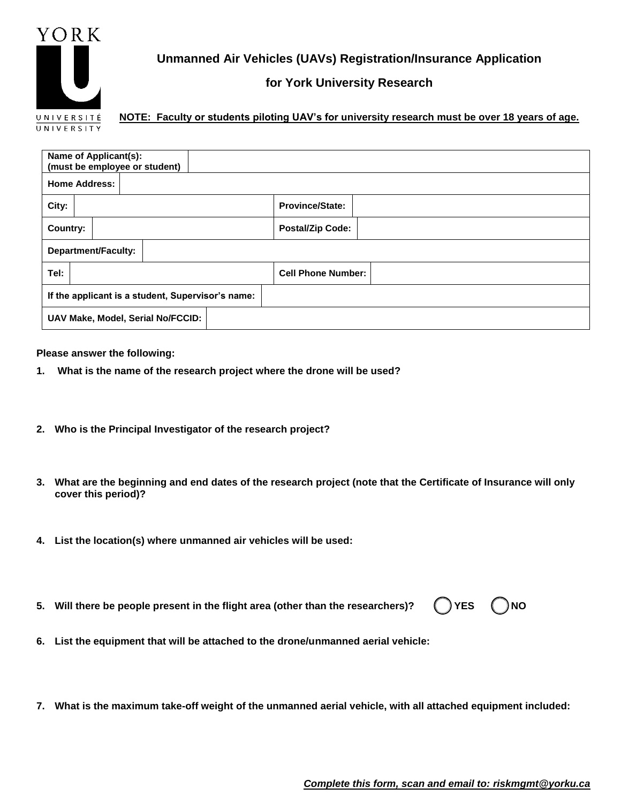

**Unmanned Air Vehicles (UAVs) Registration/Insurance Application**

## **for York University Research**

**NOTE: Faculty or students piloting UAV's for university research must be over 18 years of age.** 

| Name of Applicant(s):<br>(must be employee or student) |  |  |  |  |  |                           |
|--------------------------------------------------------|--|--|--|--|--|---------------------------|
| <b>Home Address:</b>                                   |  |  |  |  |  |                           |
| City:                                                  |  |  |  |  |  | <b>Province/State:</b>    |
| Country:                                               |  |  |  |  |  | <b>Postal/Zip Code:</b>   |
| <b>Department/Faculty:</b>                             |  |  |  |  |  |                           |
| Tel:                                                   |  |  |  |  |  | <b>Cell Phone Number:</b> |
| If the applicant is a student, Supervisor's name:      |  |  |  |  |  |                           |
| UAV Make, Model, Serial No/FCCID:                      |  |  |  |  |  |                           |

**Please answer the following:**

- **1. What is the name of the research project where the drone will be used?**
- **2. Who is the Principal Investigator of the research project?**
- **3. What are the beginning and end dates of the research project (note that the Certificate of Insurance will only cover this period)?**
- **4. List the location(s) where unmanned air vehicles will be used:**
- **5.** Will there be people present in the flight area (other than the researchers)?  $($  ) YES  $($  ) NO
- **6. List the equipment that will be attached to the drone/unmanned aerial vehicle:**
- **7. What is the maximum take-off weight of the unmanned aerial vehicle, with all attached equipment included:**